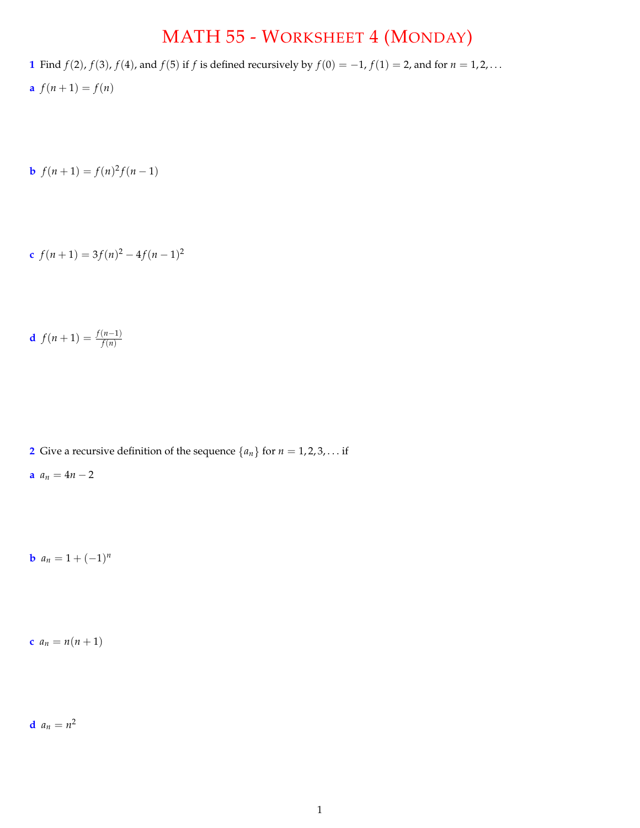## MATH 55 - WORKSHEET 4 (MONDAY)

- **1** Find *f*(2), *f*(3), *f*(4), and *f*(5) if *f* is defined recursively by *f*(0) = -1, *f*(1) = 2, and for *n* = 1, 2, ...
- **a**  $f(n+1) = f(n)$

**b**  $f(n+1) = f(n)^2 f(n-1)$ 

$$
f(n+1) = 3f(n)^2 - 4f(n-1)^2
$$

$$
f(n+1) = \frac{f(n-1)}{f(n)}
$$

**2** Give a recursive definition of the sequence  $\{a_n\}$  for  $n = 1, 2, 3, \ldots$  if

$$
a\, a_n=4n-2
$$

**b**  $a_n = 1 + (-1)^n$ 

**c**  $a_n = n(n+1)$ 

**d**  $a_n = n^2$